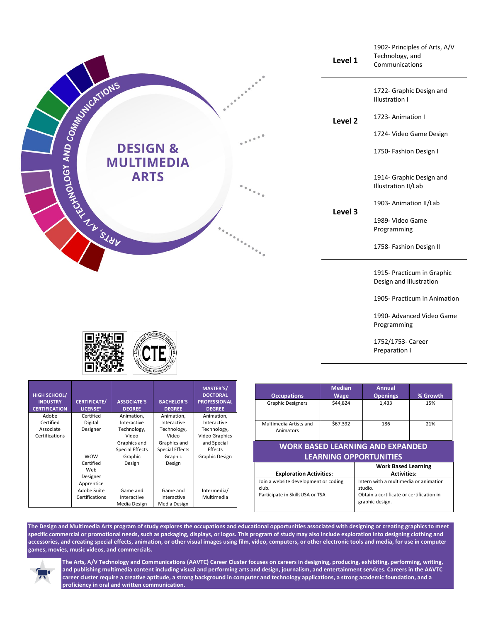

|                                                                                  | <b>Work Based Learning</b>                                                                                      |
|----------------------------------------------------------------------------------|-----------------------------------------------------------------------------------------------------------------|
| <b>Exploration Activities:</b>                                                   | <b>Activities:</b>                                                                                              |
| Join a website development or coding<br>club.<br>Participate in SkillsUSA or TSA | Intern with a multimedia or animation<br>studio.<br>Obtain a certificate or certification in<br>graphic design. |

**The Design and Multimedia Arts program of study explores the occupations and educational opportunities associated with designing or creating graphics to meet specific commercial or promotional needs, such as packaging, displays, or logos. This program of study may also include exploration into designing clothing and accessories, and creating special effects, animation, or other visual images using film, video, computers, or other electronic tools and media, for use in computer games, movies, music videos, and commercials.**

Intermedia/ Multimedia



Apprentice

Adobe Suite Certifications

Game and Interactive Media Design

Game and Interactive Media Design

**The Arts, A/V Technology and Communications (AAVTC) Career Cluster focuses on careers in designing, producing, exhibiting, performing, writing, and publishing multimedia content including visual and performing arts and design, journalism, and entertainment services. Careers in the AAVTC career cluster require a creative aptitude, a strong background in computer and technology applications, a strong academic foundation, and a proficiency in oral and written communication.**